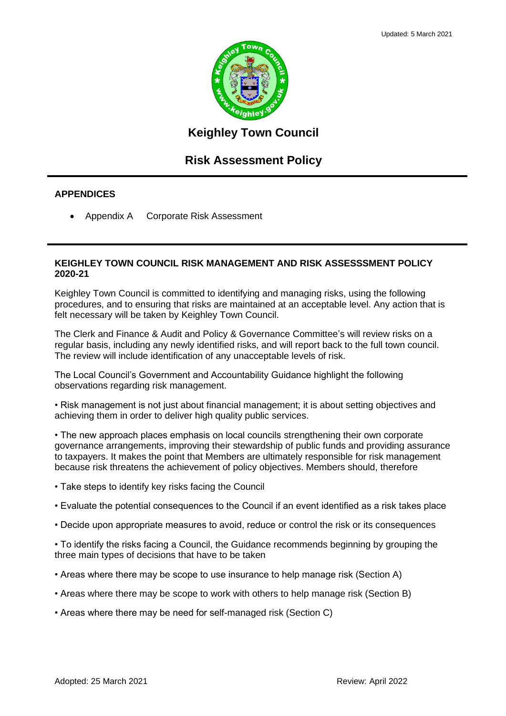

## **Keighley Town Council**

# **Risk Assessment Policy**

#### **APPENDICES**

• Appendix A Corporate Risk Assessment

#### **KEIGHLEY TOWN COUNCIL RISK MANAGEMENT AND RISK ASSESSSMENT POLICY 2020-21**

Keighley Town Council is committed to identifying and managing risks, using the following procedures, and to ensuring that risks are maintained at an acceptable level. Any action that is felt necessary will be taken by Keighley Town Council.

The Clerk and Finance & Audit and Policy & Governance Committee's will review risks on a regular basis, including any newly identified risks, and will report back to the full town council. The review will include identification of any unacceptable levels of risk.

The Local Council's Government and Accountability Guidance highlight the following observations regarding risk management.

• Risk management is not just about financial management; it is about setting objectives and achieving them in order to deliver high quality public services.

• The new approach places emphasis on local councils strengthening their own corporate governance arrangements, improving their stewardship of public funds and providing assurance to taxpayers. It makes the point that Members are ultimately responsible for risk management because risk threatens the achievement of policy objectives. Members should, therefore

- Take steps to identify key risks facing the Council
- Evaluate the potential consequences to the Council if an event identified as a risk takes place
- Decide upon appropriate measures to avoid, reduce or control the risk or its consequences

• To identify the risks facing a Council, the Guidance recommends beginning by grouping the three main types of decisions that have to be taken

- Areas where there may be scope to use insurance to help manage risk (Section A)
- Areas where there may be scope to work with others to help manage risk (Section B)
- Areas where there may be need for self-managed risk (Section C)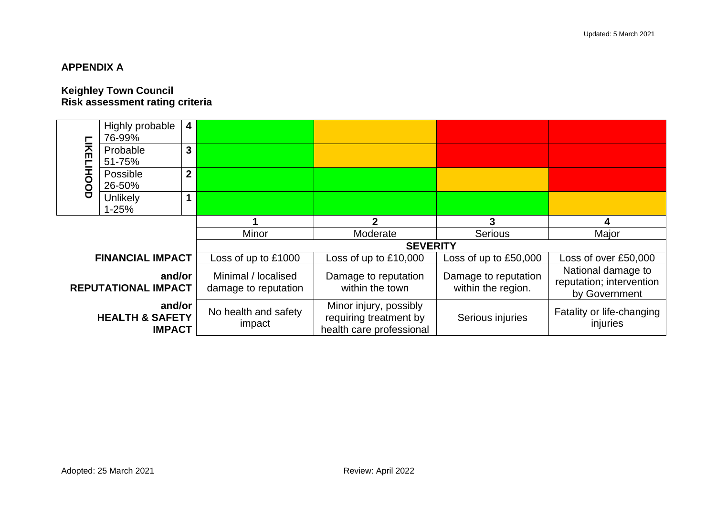## **APPENDIX A**

#### **Keighley Town Council Risk assessment rating criteria**

|                                                                                               | Highly probable<br>76-99% | 4                                           |                                                                              |                                            |                                                                 |                      |  |  |  |  |  |
|-----------------------------------------------------------------------------------------------|---------------------------|---------------------------------------------|------------------------------------------------------------------------------|--------------------------------------------|-----------------------------------------------------------------|----------------------|--|--|--|--|--|
| LIKELI                                                                                        | Probable<br>51-75%        | 3                                           |                                                                              |                                            |                                                                 |                      |  |  |  |  |  |
| HOOD                                                                                          | Possible<br>26-50%        | $\overline{2}$                              |                                                                              |                                            |                                                                 |                      |  |  |  |  |  |
|                                                                                               | Unlikely<br>$1 - 25%$     | 1                                           |                                                                              |                                            |                                                                 |                      |  |  |  |  |  |
|                                                                                               |                           |                                             |                                                                              | $\mathbf{c}$                               | 3                                                               | 4                    |  |  |  |  |  |
|                                                                                               |                           | Minor                                       | Moderate                                                                     | <b>Serious</b>                             | Major                                                           |                      |  |  |  |  |  |
|                                                                                               |                           |                                             | <b>SEVERITY</b>                                                              |                                            |                                                                 |                      |  |  |  |  |  |
|                                                                                               | <b>FINANCIAL IMPACT</b>   |                                             | Loss of up to £1000                                                          | Loss of up to £10,000                      | Loss of up to £50,000                                           | Loss of over £50,000 |  |  |  |  |  |
| and/or<br><b>REPUTATIONAL IMPACT</b><br>and/or<br><b>HEALTH &amp; SAFETY</b><br><b>IMPACT</b> |                           | Minimal / localised<br>damage to reputation | Damage to reputation<br>within the town                                      | Damage to reputation<br>within the region. | National damage to<br>reputation; intervention<br>by Government |                      |  |  |  |  |  |
|                                                                                               |                           | No health and safety<br>impact              | Minor injury, possibly<br>requiring treatment by<br>health care professional | Serious injuries                           | Fatality or life-changing<br>injuries                           |                      |  |  |  |  |  |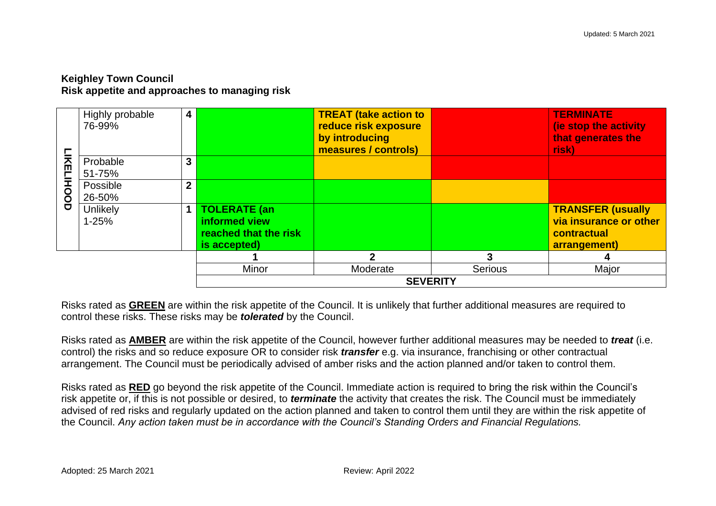## **Keighley Town Council Risk appetite and approaches to managing risk**

|          | Highly probable<br>76-99% | 4              |                                                                                | <b>TREAT (take action to</b><br>reduce risk exposure<br>by introducing<br>measures / controls) |                | <b>TERMINATE</b><br>(ie stop the activity<br>that generates the<br>risk)          |  |  |  |  |
|----------|---------------------------|----------------|--------------------------------------------------------------------------------|------------------------------------------------------------------------------------------------|----------------|-----------------------------------------------------------------------------------|--|--|--|--|
|          | Probable<br>51-75%        | 3              |                                                                                |                                                                                                |                |                                                                                   |  |  |  |  |
| KELIHOOD | Possible<br>26-50%        | $\overline{2}$ |                                                                                |                                                                                                |                |                                                                                   |  |  |  |  |
|          | Unlikely<br>$1 - 25%$     |                | <b>TOLERATE (an)</b><br>informed view<br>reached that the risk<br>is accepted) |                                                                                                |                | <b>TRANSFER (usually</b><br>via insurance or other<br>contractual<br>arrangement) |  |  |  |  |
|          |                           |                |                                                                                | $\boldsymbol{\mathcal{P}}$                                                                     | 3              | 4                                                                                 |  |  |  |  |
|          |                           |                | Minor                                                                          | Moderate                                                                                       | <b>Serious</b> | Major                                                                             |  |  |  |  |
|          |                           |                |                                                                                | <b>SEVERITY</b>                                                                                |                |                                                                                   |  |  |  |  |

Risks rated as **GREEN** are within the risk appetite of the Council. It is unlikely that further additional measures are required to control these risks. These risks may be *tolerated* by the Council.

Risks rated as **AMBER** are within the risk appetite of the Council, however further additional measures may be needed to *treat* (i.e. control) the risks and so reduce exposure OR to consider risk *transfer* e.g. via insurance, franchising or other contractual arrangement. The Council must be periodically advised of amber risks and the action planned and/or taken to control them.

Risks rated as **RED** go beyond the risk appetite of the Council. Immediate action is required to bring the risk within the Council's risk appetite or, if this is not possible or desired, to *terminate* the activity that creates the risk. The Council must be immediately advised of red risks and regularly updated on the action planned and taken to control them until they are within the risk appetite of the Council. *Any action taken must be in accordance with the Council's Standing Orders and Financial Regulations.*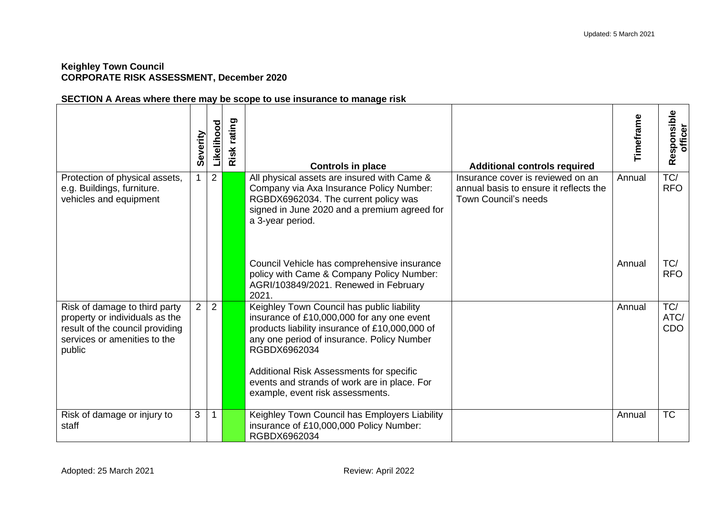#### **Keighley Town Council CORPORATE RISK ASSESSMENT, December 2020**

## **SECTION A Areas where there may be scope to use insurance to manage risk**

|                                                                                                                                              | Severity    | Likelihood | rating<br>Risk | <b>Controls in place</b>                                                                                                                                                                                                                                                                                                                 | <b>Additional controls required</b>                                                                        | Timeframe | Responsible<br>officer |
|----------------------------------------------------------------------------------------------------------------------------------------------|-------------|------------|----------------|------------------------------------------------------------------------------------------------------------------------------------------------------------------------------------------------------------------------------------------------------------------------------------------------------------------------------------------|------------------------------------------------------------------------------------------------------------|-----------|------------------------|
| Protection of physical assets,<br>e.g. Buildings, furniture.<br>vehicles and equipment                                                       |             | 2          |                | All physical assets are insured with Came &<br>Company via Axa Insurance Policy Number:<br>RGBDX6962034. The current policy was<br>signed in June 2020 and a premium agreed for<br>a 3-year period.                                                                                                                                      | Insurance cover is reviewed on an<br>annual basis to ensure it reflects the<br><b>Town Council's needs</b> | Annual    | TC/<br><b>RFO</b>      |
|                                                                                                                                              |             |            |                | Council Vehicle has comprehensive insurance<br>policy with Came & Company Policy Number:<br>AGRI/103849/2021. Renewed in February<br>2021.                                                                                                                                                                                               |                                                                                                            | Annual    | TC/<br><b>RFO</b>      |
| Risk of damage to third party<br>property or individuals as the<br>result of the council providing<br>services or amenities to the<br>public | $2^{\circ}$ | 2          |                | Keighley Town Council has public liability<br>insurance of £10,000,000 for any one event<br>products liability insurance of £10,000,000 of<br>any one period of insurance. Policy Number<br>RGBDX6962034<br>Additional Risk Assessments for specific<br>events and strands of work are in place. For<br>example, event risk assessments. |                                                                                                            | Annual    | TC/<br>ATC/<br>CDO     |
| Risk of damage or injury to<br>staff                                                                                                         | 3           |            |                | Keighley Town Council has Employers Liability<br>insurance of £10,000,000 Policy Number:<br>RGBDX6962034                                                                                                                                                                                                                                 |                                                                                                            | Annual    | <b>TC</b>              |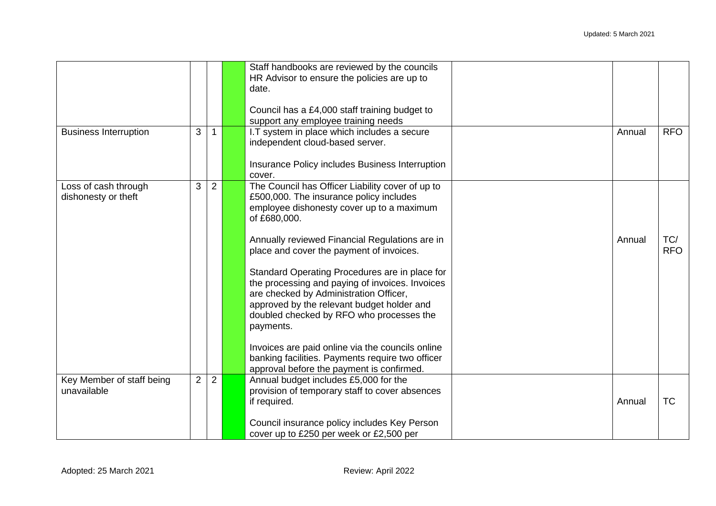|                                             |                |                | Staff handbooks are reviewed by the councils<br>HR Advisor to ensure the policies are up to<br>date.<br>Council has a £4,000 staff training budget to<br>support any employee training needs                                                                                                                                                                                                                                                                                                    |        |                   |
|---------------------------------------------|----------------|----------------|-------------------------------------------------------------------------------------------------------------------------------------------------------------------------------------------------------------------------------------------------------------------------------------------------------------------------------------------------------------------------------------------------------------------------------------------------------------------------------------------------|--------|-------------------|
| <b>Business Interruption</b>                | 3              |                | I.T system in place which includes a secure<br>independent cloud-based server.<br>Insurance Policy includes Business Interruption<br>cover.                                                                                                                                                                                                                                                                                                                                                     | Annual | <b>RFO</b>        |
| Loss of cash through<br>dishonesty or theft | 3              | 2              | The Council has Officer Liability cover of up to<br>£500,000. The insurance policy includes<br>employee dishonesty cover up to a maximum<br>of £680,000.<br>Annually reviewed Financial Regulations are in<br>place and cover the payment of invoices.<br>Standard Operating Procedures are in place for<br>the processing and paying of invoices. Invoices<br>are checked by Administration Officer,<br>approved by the relevant budget holder and<br>doubled checked by RFO who processes the | Annual | TC/<br><b>RFO</b> |
|                                             |                |                | payments.<br>Invoices are paid online via the councils online<br>banking facilities. Payments require two officer<br>approval before the payment is confirmed.                                                                                                                                                                                                                                                                                                                                  |        |                   |
| Key Member of staff being<br>unavailable    | $\overline{2}$ | $\overline{2}$ | Annual budget includes £5,000 for the<br>provision of temporary staff to cover absences<br>if required.<br>Council insurance policy includes Key Person<br>cover up to £250 per week or £2,500 per                                                                                                                                                                                                                                                                                              | Annual | <b>TC</b>         |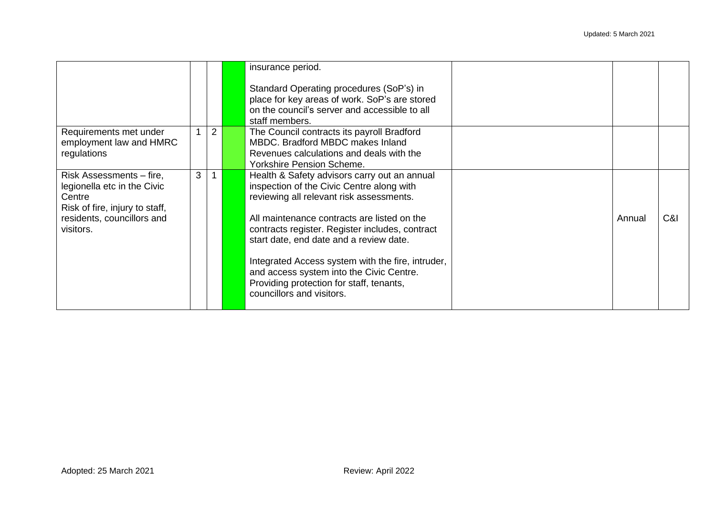|                                                                                                                                                |   |                | insurance period.<br>Standard Operating procedures (SoP's) in<br>place for key areas of work. SoP's are stored<br>on the council's server and accessible to all<br>staff members.                                                                                                                                                                                                                                                                            |        |     |
|------------------------------------------------------------------------------------------------------------------------------------------------|---|----------------|--------------------------------------------------------------------------------------------------------------------------------------------------------------------------------------------------------------------------------------------------------------------------------------------------------------------------------------------------------------------------------------------------------------------------------------------------------------|--------|-----|
| Requirements met under<br>employment law and HMRC<br>regulations                                                                               |   | $\overline{2}$ | The Council contracts its payroll Bradford<br>MBDC. Bradford MBDC makes Inland<br>Revenues calculations and deals with the<br><b>Yorkshire Pension Scheme.</b>                                                                                                                                                                                                                                                                                               |        |     |
| Risk Assessments – fire,<br>legionella etc in the Civic<br>Centre<br>Risk of fire, injury to staff,<br>residents, councillors and<br>visitors. | 3 |                | Health & Safety advisors carry out an annual<br>inspection of the Civic Centre along with<br>reviewing all relevant risk assessments.<br>All maintenance contracts are listed on the<br>contracts register. Register includes, contract<br>start date, end date and a review date.<br>Integrated Access system with the fire, intruder,<br>and access system into the Civic Centre.<br>Providing protection for staff, tenants,<br>councillors and visitors. | Annual | C&I |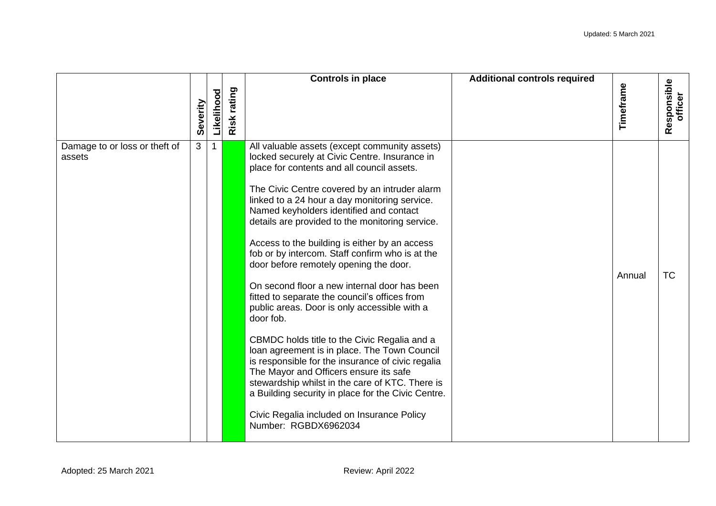|                                         |              |            |                | <b>Controls in place</b>                                                                                                                                                                                                                                                                                                                                                                                                                                                                                                                                                                                                                                                                                                                                                                                                                                                                                                                                                                                                               | <b>Additional controls required</b> |           |                        |
|-----------------------------------------|--------------|------------|----------------|----------------------------------------------------------------------------------------------------------------------------------------------------------------------------------------------------------------------------------------------------------------------------------------------------------------------------------------------------------------------------------------------------------------------------------------------------------------------------------------------------------------------------------------------------------------------------------------------------------------------------------------------------------------------------------------------------------------------------------------------------------------------------------------------------------------------------------------------------------------------------------------------------------------------------------------------------------------------------------------------------------------------------------------|-------------------------------------|-----------|------------------------|
|                                         | Severity     | Likelihood | rating<br>Risk |                                                                                                                                                                                                                                                                                                                                                                                                                                                                                                                                                                                                                                                                                                                                                                                                                                                                                                                                                                                                                                        |                                     | Timeframe | Responsible<br>officer |
| Damage to or loss or theft of<br>assets | $\mathbf{3}$ | 1          |                | All valuable assets (except community assets)<br>locked securely at Civic Centre. Insurance in<br>place for contents and all council assets.<br>The Civic Centre covered by an intruder alarm<br>linked to a 24 hour a day monitoring service.<br>Named keyholders identified and contact<br>details are provided to the monitoring service.<br>Access to the building is either by an access<br>fob or by intercom. Staff confirm who is at the<br>door before remotely opening the door.<br>On second floor a new internal door has been<br>fitted to separate the council's offices from<br>public areas. Door is only accessible with a<br>door fob.<br>CBMDC holds title to the Civic Regalia and a<br>loan agreement is in place. The Town Council<br>is responsible for the insurance of civic regalia<br>The Mayor and Officers ensure its safe<br>stewardship whilst in the care of KTC. There is<br>a Building security in place for the Civic Centre.<br>Civic Regalia included on Insurance Policy<br>Number: RGBDX6962034 |                                     | Annual    | <b>TC</b>              |
| Adopted: 25 March 2021                  |              |            |                | Review: April 2022                                                                                                                                                                                                                                                                                                                                                                                                                                                                                                                                                                                                                                                                                                                                                                                                                                                                                                                                                                                                                     |                                     |           |                        |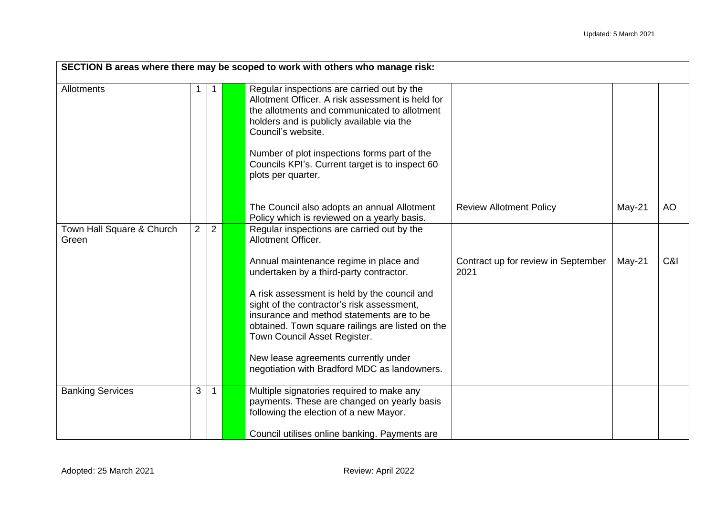| SECTION B areas where there may be scoped to work with others who manage risk: |   |                |  |                                                                                                                                                                                                                                                                                                                                                                                                                                                                              |                                             |          |           |  |  |  |  |
|--------------------------------------------------------------------------------|---|----------------|--|------------------------------------------------------------------------------------------------------------------------------------------------------------------------------------------------------------------------------------------------------------------------------------------------------------------------------------------------------------------------------------------------------------------------------------------------------------------------------|---------------------------------------------|----------|-----------|--|--|--|--|
| Allotments                                                                     |   |                |  | Regular inspections are carried out by the<br>Allotment Officer. A risk assessment is held for<br>the allotments and communicated to allotment<br>holders and is publicly available via the<br>Council's website.<br>Number of plot inspections forms part of the<br>Councils KPI's. Current target is to inspect 60<br>plots per quarter.<br>The Council also adopts an annual Allotment<br>Policy which is reviewed on a yearly basis.                                     | <b>Review Allotment Policy</b>              | $May-21$ | <b>AO</b> |  |  |  |  |
| Town Hall Square & Church<br>Green                                             | 2 | $\overline{2}$ |  | Regular inspections are carried out by the<br>Allotment Officer.<br>Annual maintenance regime in place and<br>undertaken by a third-party contractor.<br>A risk assessment is held by the council and<br>sight of the contractor's risk assessment,<br>insurance and method statements are to be<br>obtained. Town square railings are listed on the<br>Town Council Asset Register.<br>New lease agreements currently under<br>negotiation with Bradford MDC as landowners. | Contract up for review in September<br>2021 | $May-21$ | C&I       |  |  |  |  |
| <b>Banking Services</b>                                                        | 3 |                |  | Multiple signatories required to make any<br>payments. These are changed on yearly basis<br>following the election of a new Mayor.<br>Council utilises online banking. Payments are                                                                                                                                                                                                                                                                                          |                                             |          |           |  |  |  |  |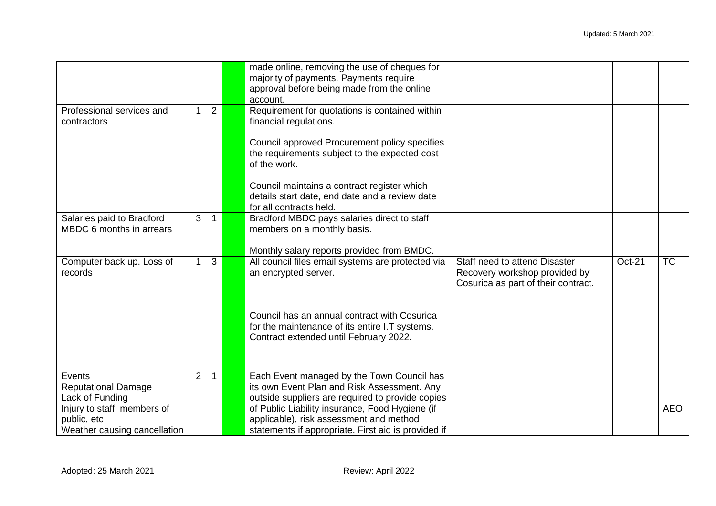|                                                                                                                                       |                |                | made online, removing the use of cheques for<br>majority of payments. Payments require<br>approval before being made from the online<br>account.                                                                                                                                                   |                                                                                                       |        |            |
|---------------------------------------------------------------------------------------------------------------------------------------|----------------|----------------|----------------------------------------------------------------------------------------------------------------------------------------------------------------------------------------------------------------------------------------------------------------------------------------------------|-------------------------------------------------------------------------------------------------------|--------|------------|
| Professional services and<br>contractors                                                                                              |                | $\overline{2}$ | Requirement for quotations is contained within<br>financial regulations.<br>Council approved Procurement policy specifies<br>the requirements subject to the expected cost<br>of the work.<br>Council maintains a contract register which<br>details start date, end date and a review date        |                                                                                                       |        |            |
|                                                                                                                                       |                |                | for all contracts held.                                                                                                                                                                                                                                                                            |                                                                                                       |        |            |
| Salaries paid to Bradford<br>MBDC 6 months in arrears                                                                                 | $\overline{3}$ |                | Bradford MBDC pays salaries direct to staff<br>members on a monthly basis.<br>Monthly salary reports provided from BMDC.                                                                                                                                                                           |                                                                                                       |        |            |
| Computer back up. Loss of<br>records                                                                                                  | $\mathbf 1$    | 3              | All council files email systems are protected via<br>an encrypted server.                                                                                                                                                                                                                          | Staff need to attend Disaster<br>Recovery workshop provided by<br>Cosurica as part of their contract. | Oct-21 | <b>TC</b>  |
|                                                                                                                                       |                |                | Council has an annual contract with Cosurica<br>for the maintenance of its entire I.T systems.<br>Contract extended until February 2022.                                                                                                                                                           |                                                                                                       |        |            |
| Events<br><b>Reputational Damage</b><br>Lack of Funding<br>Injury to staff, members of<br>public, etc<br>Weather causing cancellation | $\overline{2}$ |                | Each Event managed by the Town Council has<br>its own Event Plan and Risk Assessment. Any<br>outside suppliers are required to provide copies<br>of Public Liability insurance, Food Hygiene (if<br>applicable), risk assessment and method<br>statements if appropriate. First aid is provided if |                                                                                                       |        | <b>AEO</b> |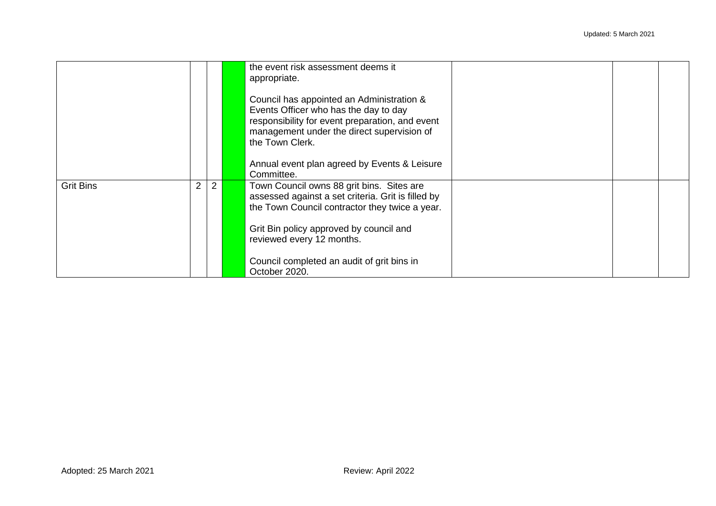|                  |   |                | the event risk assessment deems it<br>appropriate.<br>Council has appointed an Administration &<br>Events Officer who has the day to day<br>responsibility for event preparation, and event<br>management under the direct supervision of<br>the Town Clerk. |  |  |
|------------------|---|----------------|--------------------------------------------------------------------------------------------------------------------------------------------------------------------------------------------------------------------------------------------------------------|--|--|
|                  |   |                | Annual event plan agreed by Events & Leisure<br>Committee.                                                                                                                                                                                                   |  |  |
| <b>Grit Bins</b> | 2 | $\overline{2}$ | Town Council owns 88 grit bins. Sites are<br>assessed against a set criteria. Grit is filled by<br>the Town Council contractor they twice a year.                                                                                                            |  |  |
|                  |   |                | Grit Bin policy approved by council and<br>reviewed every 12 months.                                                                                                                                                                                         |  |  |
|                  |   |                | Council completed an audit of grit bins in<br>October 2020.                                                                                                                                                                                                  |  |  |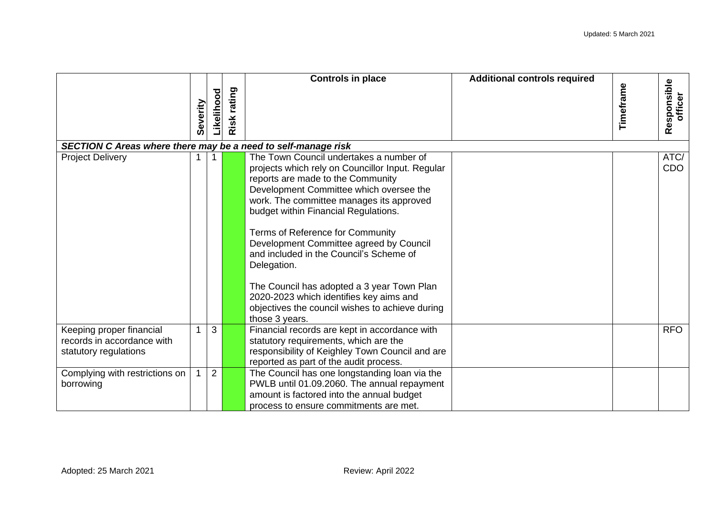|                                                                                 |          |                |             | <b>Controls in place</b>                                                                                                                                                                                                                                                                                                                                                                                                                                                                                                                                               | <b>Additional controls required</b> |           |                        |
|---------------------------------------------------------------------------------|----------|----------------|-------------|------------------------------------------------------------------------------------------------------------------------------------------------------------------------------------------------------------------------------------------------------------------------------------------------------------------------------------------------------------------------------------------------------------------------------------------------------------------------------------------------------------------------------------------------------------------------|-------------------------------------|-----------|------------------------|
|                                                                                 | Severity | Likelihood     | Risk rating |                                                                                                                                                                                                                                                                                                                                                                                                                                                                                                                                                                        |                                     | Timeframe | Responsible<br>officer |
| SECTION C Areas where there may be a need to self-manage risk                   |          |                |             |                                                                                                                                                                                                                                                                                                                                                                                                                                                                                                                                                                        |                                     |           |                        |
| <b>Project Delivery</b>                                                         |          |                |             | The Town Council undertakes a number of<br>projects which rely on Councillor Input. Regular<br>reports are made to the Community<br>Development Committee which oversee the<br>work. The committee manages its approved<br>budget within Financial Regulations.<br>Terms of Reference for Community<br>Development Committee agreed by Council<br>and included in the Council's Scheme of<br>Delegation.<br>The Council has adopted a 3 year Town Plan<br>2020-2023 which identifies key aims and<br>objectives the council wishes to achieve during<br>those 3 years. |                                     |           | ATC/<br>CDO            |
| Keeping proper financial<br>records in accordance with<br>statutory regulations |          | 3              |             | Financial records are kept in accordance with<br>statutory requirements, which are the<br>responsibility of Keighley Town Council and are<br>reported as part of the audit process.                                                                                                                                                                                                                                                                                                                                                                                    |                                     |           | <b>RFO</b>             |
| Complying with restrictions on<br>borrowing                                     |          | $\overline{2}$ |             | The Council has one longstanding loan via the<br>PWLB until 01.09.2060. The annual repayment<br>amount is factored into the annual budget<br>process to ensure commitments are met.                                                                                                                                                                                                                                                                                                                                                                                    |                                     |           |                        |
| Adopted: 25 March 2021                                                          |          |                |             | Review: April 2022                                                                                                                                                                                                                                                                                                                                                                                                                                                                                                                                                     |                                     |           |                        |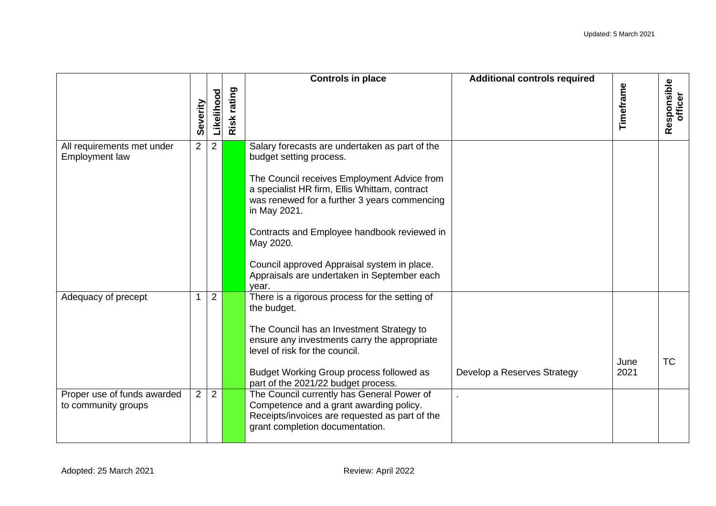|                                                    |                |                |                | <b>Controls in place</b>                                                                                                                                                                                                                                                                 | <b>Additional controls required</b> |           |                        |
|----------------------------------------------------|----------------|----------------|----------------|------------------------------------------------------------------------------------------------------------------------------------------------------------------------------------------------------------------------------------------------------------------------------------------|-------------------------------------|-----------|------------------------|
|                                                    | Severity       | Likelihood     | rating<br>Risk |                                                                                                                                                                                                                                                                                          |                                     | Timeframe | Responsible<br>officer |
| All requirements met under<br>Employment law       | $2^{\circ}$    | $\overline{2}$ |                | Salary forecasts are undertaken as part of the<br>budget setting process.<br>The Council receives Employment Advice from<br>a specialist HR firm, Ellis Whittam, contract<br>was renewed for a further 3 years commencing<br>in May 2021.<br>Contracts and Employee handbook reviewed in |                                     |           |                        |
|                                                    |                |                |                | May 2020.<br>Council approved Appraisal system in place.<br>Appraisals are undertaken in September each<br>year.                                                                                                                                                                         |                                     |           |                        |
| Adequacy of precept                                | $\mathbf{1}$   | $\overline{2}$ |                | There is a rigorous process for the setting of<br>the budget.<br>The Council has an Investment Strategy to<br>ensure any investments carry the appropriate<br>level of risk for the council.                                                                                             |                                     | June      | <b>TC</b>              |
|                                                    |                |                |                | Budget Working Group process followed as<br>part of the 2021/22 budget process.                                                                                                                                                                                                          | Develop a Reserves Strategy         | 2021      |                        |
| Proper use of funds awarded<br>to community groups | 2 <sup>1</sup> | $\overline{2}$ |                | The Council currently has General Power of<br>Competence and a grant awarding policy.<br>Receipts/invoices are requested as part of the<br>grant completion documentation.                                                                                                               |                                     |           |                        |
| Adopted: 25 March 2021                             |                |                |                | Review: April 2022                                                                                                                                                                                                                                                                       |                                     |           |                        |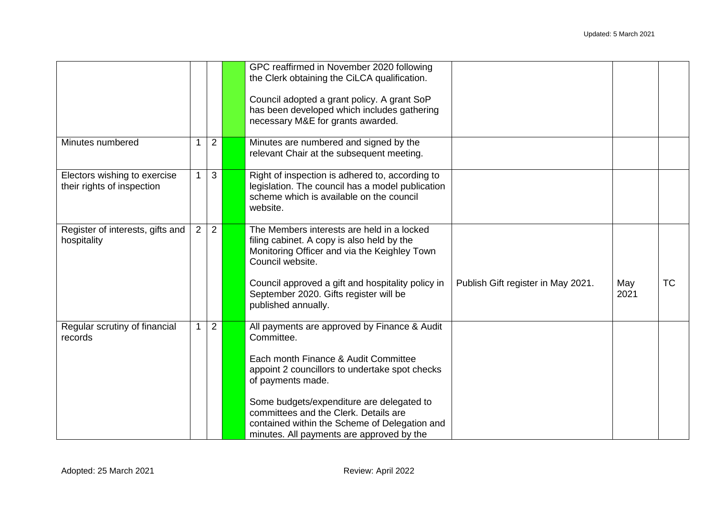|                                                            |                |              | GPC reaffirmed in November 2020 following<br>the Clerk obtaining the CiLCA qualification.<br>Council adopted a grant policy. A grant SoP<br>has been developed which includes gathering<br>necessary M&E for grants awarded. |                                    |             |           |
|------------------------------------------------------------|----------------|--------------|------------------------------------------------------------------------------------------------------------------------------------------------------------------------------------------------------------------------------|------------------------------------|-------------|-----------|
| Minutes numbered                                           |                | 2            | Minutes are numbered and signed by the<br>relevant Chair at the subsequent meeting.                                                                                                                                          |                                    |             |           |
| Electors wishing to exercise<br>their rights of inspection | 1 <sup>1</sup> | $\mathbf{3}$ | Right of inspection is adhered to, according to<br>legislation. The council has a model publication<br>scheme which is available on the council<br>website.                                                                  |                                    |             |           |
| Register of interests, gifts and<br>hospitality            | $2^{\circ}$    | 2            | The Members interests are held in a locked<br>filing cabinet. A copy is also held by the<br>Monitoring Officer and via the Keighley Town<br>Council website.                                                                 |                                    |             |           |
|                                                            |                |              | Council approved a gift and hospitality policy in<br>September 2020. Gifts register will be<br>published annually.                                                                                                           | Publish Gift register in May 2021. | May<br>2021 | <b>TC</b> |
| Regular scrutiny of financial<br>records                   |                | 2            | All payments are approved by Finance & Audit<br>Committee.                                                                                                                                                                   |                                    |             |           |
|                                                            |                |              | Each month Finance & Audit Committee<br>appoint 2 councillors to undertake spot checks<br>of payments made.                                                                                                                  |                                    |             |           |
|                                                            |                |              | Some budgets/expenditure are delegated to<br>committees and the Clerk. Details are<br>contained within the Scheme of Delegation and<br>minutes. All payments are approved by the                                             |                                    |             |           |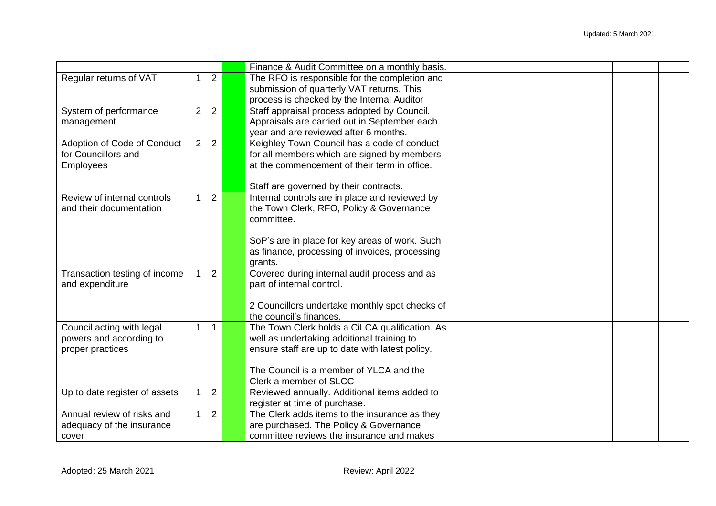|                               |                |                | Finance & Audit Committee on a monthly basis.   |  |
|-------------------------------|----------------|----------------|-------------------------------------------------|--|
| Regular returns of VAT        | 1              | $\overline{2}$ | The RFO is responsible for the completion and   |  |
|                               |                |                | submission of quarterly VAT returns. This       |  |
|                               |                |                | process is checked by the Internal Auditor      |  |
| System of performance         | $\overline{2}$ | 2              | Staff appraisal process adopted by Council.     |  |
| management                    |                |                | Appraisals are carried out in September each    |  |
|                               |                |                | year and are reviewed after 6 months.           |  |
| Adoption of Code of Conduct   | $\overline{2}$ | 2              | Keighley Town Council has a code of conduct     |  |
| for Councillors and           |                |                | for all members which are signed by members     |  |
| <b>Employees</b>              |                |                | at the commencement of their term in office.    |  |
|                               |                |                |                                                 |  |
|                               |                |                | Staff are governed by their contracts.          |  |
| Review of internal controls   |                | $\overline{2}$ | Internal controls are in place and reviewed by  |  |
| and their documentation       |                |                | the Town Clerk, RFO, Policy & Governance        |  |
|                               |                |                | committee.                                      |  |
|                               |                |                |                                                 |  |
|                               |                |                | SoP's are in place for key areas of work. Such  |  |
|                               |                |                | as finance, processing of invoices, processing  |  |
|                               |                |                | grants.                                         |  |
| Transaction testing of income |                | $\overline{2}$ | Covered during internal audit process and as    |  |
| and expenditure               |                |                | part of internal control.                       |  |
|                               |                |                |                                                 |  |
|                               |                |                | 2 Councillors undertake monthly spot checks of  |  |
|                               |                |                | the council's finances.                         |  |
| Council acting with legal     | 1              | $\mathbf 1$    | The Town Clerk holds a CiLCA qualification. As  |  |
| powers and according to       |                |                | well as undertaking additional training to      |  |
| proper practices              |                |                | ensure staff are up to date with latest policy. |  |
|                               |                |                |                                                 |  |
|                               |                |                | The Council is a member of YLCA and the         |  |
|                               |                |                | Clerk a member of SLCC                          |  |
| Up to date register of assets | 1              | $\overline{2}$ | Reviewed annually. Additional items added to    |  |
|                               |                |                | register at time of purchase.                   |  |
| Annual review of risks and    | 1              | $\overline{2}$ | The Clerk adds items to the insurance as they   |  |
| adequacy of the insurance     |                |                | are purchased. The Policy & Governance          |  |
| cover                         |                |                | committee reviews the insurance and makes       |  |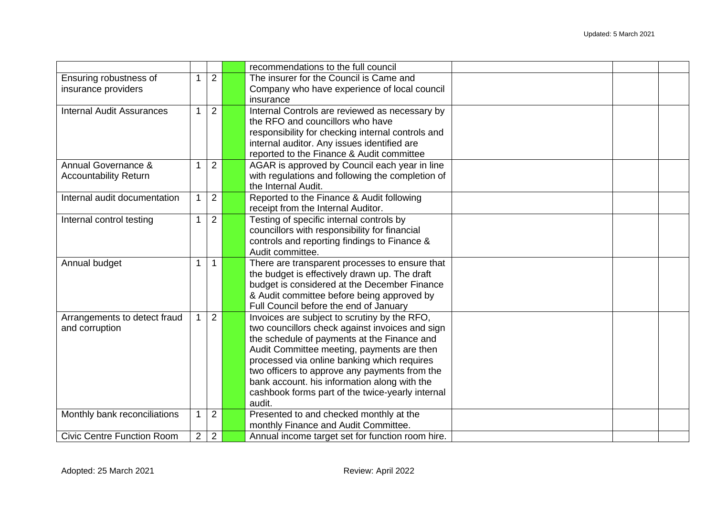|                                                                   |                |                | recommendations to the full council                                                                                                                                                                                                                                                                |  |
|-------------------------------------------------------------------|----------------|----------------|----------------------------------------------------------------------------------------------------------------------------------------------------------------------------------------------------------------------------------------------------------------------------------------------------|--|
| Ensuring robustness of                                            |                | $\overline{2}$ | The insurer for the Council is Came and                                                                                                                                                                                                                                                            |  |
| insurance providers                                               |                |                | Company who have experience of local council                                                                                                                                                                                                                                                       |  |
|                                                                   |                |                | insurance                                                                                                                                                                                                                                                                                          |  |
| <b>Internal Audit Assurances</b>                                  |                | $\overline{2}$ |                                                                                                                                                                                                                                                                                                    |  |
|                                                                   |                |                | Internal Controls are reviewed as necessary by<br>the RFO and councillors who have                                                                                                                                                                                                                 |  |
|                                                                   |                |                |                                                                                                                                                                                                                                                                                                    |  |
|                                                                   |                |                | responsibility for checking internal controls and                                                                                                                                                                                                                                                  |  |
|                                                                   |                |                | internal auditor. Any issues identified are                                                                                                                                                                                                                                                        |  |
|                                                                   |                |                | reported to the Finance & Audit committee                                                                                                                                                                                                                                                          |  |
| Annual Governance &                                               |                | $\overline{2}$ | AGAR is approved by Council each year in line                                                                                                                                                                                                                                                      |  |
| <b>Accountability Return</b>                                      |                |                | with regulations and following the completion of                                                                                                                                                                                                                                                   |  |
|                                                                   |                |                | the Internal Audit.                                                                                                                                                                                                                                                                                |  |
| Internal audit documentation                                      |                | 2              | Reported to the Finance & Audit following                                                                                                                                                                                                                                                          |  |
|                                                                   |                |                | receipt from the Internal Auditor.                                                                                                                                                                                                                                                                 |  |
| Internal control testing                                          |                | 2              | Testing of specific internal controls by                                                                                                                                                                                                                                                           |  |
|                                                                   |                |                | councillors with responsibility for financial                                                                                                                                                                                                                                                      |  |
|                                                                   |                |                | controls and reporting findings to Finance &                                                                                                                                                                                                                                                       |  |
|                                                                   |                |                | Audit committee.                                                                                                                                                                                                                                                                                   |  |
| Annual budget                                                     | 1              | $\mathbf 1$    | There are transparent processes to ensure that                                                                                                                                                                                                                                                     |  |
|                                                                   |                |                | the budget is effectively drawn up. The draft                                                                                                                                                                                                                                                      |  |
|                                                                   |                |                | budget is considered at the December Finance                                                                                                                                                                                                                                                       |  |
|                                                                   |                |                | & Audit committee before being approved by                                                                                                                                                                                                                                                         |  |
|                                                                   |                |                | Full Council before the end of January                                                                                                                                                                                                                                                             |  |
| Arrangements to detect fraud                                      |                | 2              | Invoices are subject to scrutiny by the RFO,                                                                                                                                                                                                                                                       |  |
| and corruption                                                    |                |                | two councillors check against invoices and sign                                                                                                                                                                                                                                                    |  |
|                                                                   |                |                | the schedule of payments at the Finance and                                                                                                                                                                                                                                                        |  |
|                                                                   |                |                | Audit Committee meeting, payments are then                                                                                                                                                                                                                                                         |  |
|                                                                   |                |                | processed via online banking which requires                                                                                                                                                                                                                                                        |  |
|                                                                   |                |                |                                                                                                                                                                                                                                                                                                    |  |
|                                                                   |                |                |                                                                                                                                                                                                                                                                                                    |  |
|                                                                   |                |                |                                                                                                                                                                                                                                                                                                    |  |
|                                                                   |                |                |                                                                                                                                                                                                                                                                                                    |  |
|                                                                   |                |                |                                                                                                                                                                                                                                                                                                    |  |
|                                                                   |                |                |                                                                                                                                                                                                                                                                                                    |  |
|                                                                   |                |                |                                                                                                                                                                                                                                                                                                    |  |
| Monthly bank reconciliations<br><b>Civic Centre Function Room</b> | $\overline{2}$ | 2<br>2         | two officers to approve any payments from the<br>bank account. his information along with the<br>cashbook forms part of the twice-yearly internal<br>audit.<br>Presented to and checked monthly at the<br>monthly Finance and Audit Committee.<br>Annual income target set for function room hire. |  |